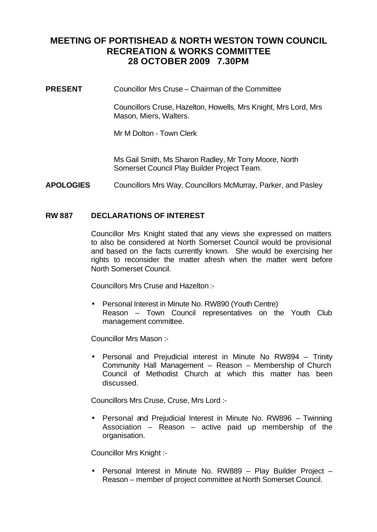# **MEETING OF PORTISHEAD & NORTH WESTON TOWN COUNCIL RECREATION & WORKS COMMITTEE 28 OCTOBER 2009 7.30PM**

**PRESENT** Councillor Mrs Cruse – Chairman of the Committee

Councillors Cruse, Hazelton, Howells, Mrs Knight, Mrs Lord, Mrs Mason, Miers, Walters.

Mr M Dolton - Town Clerk

Ms Gail Smith, Ms Sharon Radley, Mr Tony Moore, North Somerset Council Play Builder Project Team.

**APOLOGIES** Councillors Mrs Way, Councillors McMurray, Parker, and Pasley

## **RW 887 DECLARATIONS OF INTEREST**

Councillor Mrs Knight stated that any views she expressed on matters to also be considered at North Somerset Council would be provisional and based on the facts currently known. She would be exercising her rights to reconsider the matter afresh when the matter went before North Somerset Council.

Councillors Mrs Cruse and Hazelton :-

• Personal Interest in Minute No. RW890 (Youth Centre) Reason – Town Council representatives on the Youth Club management committee.

Councillor Mrs Mason :-

• Personal and Prejudicial interest in Minute No RW894 – Trinity Community Hall Management – Reason – Membership of Church Council of Methodist Church at which this matter has been discussed.

Councillors Mrs Cruse, Cruse, Mrs Lord :-

• Personal and Prejudicial Interest in Minute No. RW896 – Twinning Association – Reason – active paid up membership of the organisation.

Councillor Mrs Knight :-

• Personal Interest in Minute No. RW889 – Play Builder Project – Reason – member of project committee at North Somerset Council.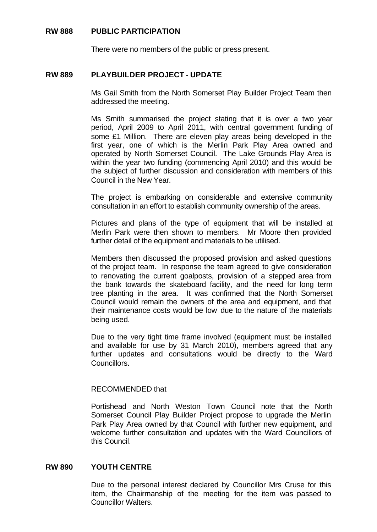# **RW 888 PUBLIC PARTICIPATION**

There were no members of the public or press present.

## **RW 889 PLAYBUILDER PROJECT - UPDATE**

Ms Gail Smith from the North Somerset Play Builder Project Team then addressed the meeting.

Ms Smith summarised the project stating that it is over a two year period, April 2009 to April 2011, with central government funding of some £1 Million. There are eleven play areas being developed in the first year, one of which is the Merlin Park Play Area owned and operated by North Somerset Council. The Lake Grounds Play Area is within the year two funding (commencing April 2010) and this would be the subject of further discussion and consideration with members of this Council in the New Year.

The project is embarking on considerable and extensive community consultation in an effort to establish community ownership of the areas.

Pictures and plans of the type of equipment that will be installed at Merlin Park were then shown to members. Mr Moore then provided further detail of the equipment and materials to be utilised.

Members then discussed the proposed provision and asked questions of the project team. In response the team agreed to give consideration to renovating the current goalposts, provision of a stepped area from the bank towards the skateboard facility, and the need for long term tree planting in the area. It was confirmed that the North Somerset Council would remain the owners of the area and equipment, and that their maintenance costs would be low due to the nature of the materials being used.

Due to the very tight time frame involved (equipment must be installed and available for use by 31 March 2010), members agreed that any further updates and consultations would be directly to the Ward Councillors.

#### RECOMMENDED that

Portishead and North Weston Town Council note that the North Somerset Council Play Builder Project propose to upgrade the Merlin Park Play Area owned by that Council with further new equipment, and welcome further consultation and updates with the Ward Councillors of this Council.

# **RW 890 YOUTH CENTRE**

Due to the personal interest declared by Councillor Mrs Cruse for this item, the Chairmanship of the meeting for the item was passed to Councillor Walters.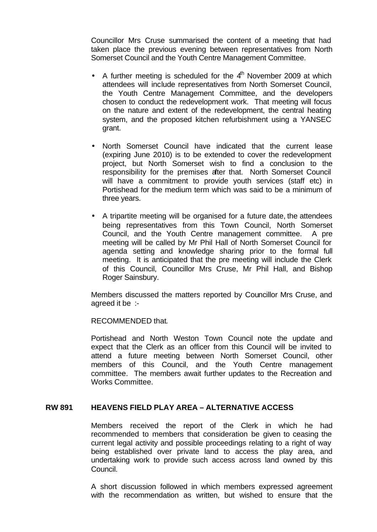Councillor Mrs Cruse summarised the content of a meeting that had taken place the previous evening between representatives from North Somerset Council and the Youth Centre Management Committee.

- A further meeting is scheduled for the  $4<sup>th</sup>$  November 2009 at which attendees will include representatives from North Somerset Council, the Youth Centre Management Committee, and the developers chosen to conduct the redevelopment work. That meeting will focus on the nature and extent of the redevelopment, the central heating system, and the proposed kitchen refurbishment using a YANSEC grant.
- North Somerset Council have indicated that the current lease (expiring June 2010) is to be extended to cover the redevelopment project, but North Somerset wish to find a conclusion to the responsibility for the premises after that. North Somerset Council will have a commitment to provide youth services (staff etc) in Portishead for the medium term which was said to be a minimum of three years.
- A tripartite meeting will be organised for a future date, the attendees being representatives from this Town Council, North Somerset Council, and the Youth Centre management committee. A pre meeting will be called by Mr Phil Hall of North Somerset Council for agenda setting and knowledge sharing prior to the formal full meeting. It is anticipated that the pre meeting will include the Clerk of this Council, Councillor Mrs Cruse, Mr Phil Hall, and Bishop Roger Sainsbury.

Members discussed the matters reported by Councillor Mrs Cruse, and agreed it be :-

RECOMMENDED that.

Portishead and North Weston Town Council note the update and expect that the Clerk as an officer from this Council will be invited to attend a future meeting between North Somerset Council, other members of this Council, and the Youth Centre management committee. The members await further updates to the Recreation and Works Committee.

# **RW 891 HEAVENS FIELD PLAY AREA – ALTERNATIVE ACCESS**

Members received the report of the Clerk in which he had recommended to members that consideration be given to ceasing the current legal activity and possible proceedings relating to a right of way being established over private land to access the play area, and undertaking work to provide such access across land owned by this Council.

A short discussion followed in which members expressed agreement with the recommendation as written, but wished to ensure that the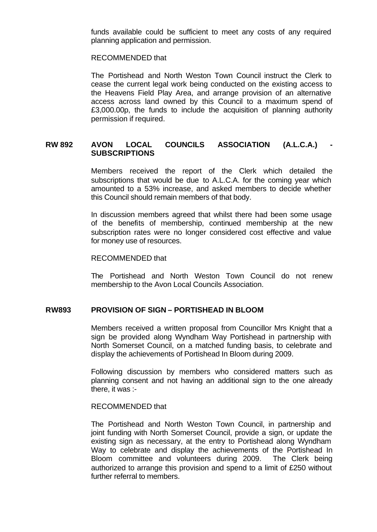funds available could be sufficient to meet any costs of any required planning application and permission.

#### RECOMMENDED that

The Portishead and North Weston Town Council instruct the Clerk to cease the current legal work being conducted on the existing access to the Heavens Field Play Area, and arrange provision of an alternative access across land owned by this Council to a maximum spend of £3,000.00p, the funds to include the acquisition of planning authority permission if required.

# **RW 892 AVON LOCAL COUNCILS ASSOCIATION (A.L.C.A.) - SUBSCRIPTIONS**

Members received the report of the Clerk which detailed the subscriptions that would be due to A.L.C.A. for the coming year which amounted to a 53% increase, and asked members to decide whether this Council should remain members of that body.

In discussion members agreed that whilst there had been some usage of the benefits of membership, continued membership at the new subscription rates were no longer considered cost effective and value for money use of resources.

#### RECOMMENDED that

The Portishead and North Weston Town Council do not renew membership to the Avon Local Councils Association.

#### **RW893 PROVISION OF SIGN – PORTISHEAD IN BLOOM**

Members received a written proposal from Councillor Mrs Knight that a sign be provided along Wyndham Way Portishead in partnership with North Somerset Council, on a matched funding basis, to celebrate and display the achievements of Portishead In Bloom during 2009.

Following discussion by members who considered matters such as planning consent and not having an additional sign to the one already there, it was :-

#### RECOMMENDED that

The Portishead and North Weston Town Council, in partnership and joint funding with North Somerset Council, provide a sign, or update the existing sign as necessary, at the entry to Portishead along Wyndham Way to celebrate and display the achievements of the Portishead In Bloom committee and volunteers during 2009. The Clerk being authorized to arrange this provision and spend to a limit of £250 without further referral to members.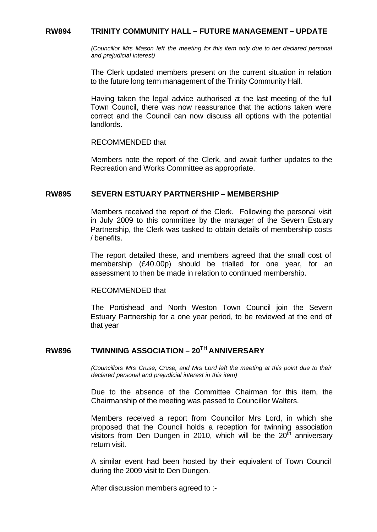### **RW894 TRINITY COMMUNITY HALL – FUTURE MANAGEMENT – UPDATE**

*(Councillor Mrs Mason left the meeting for this item only due to her declared personal and prejudicial interest)*

The Clerk updated members present on the current situation in relation to the future long term management of the Trinity Community Hall.

Having taken the legal advice authorised at the last meeting of the full Town Council, there was now reassurance that the actions taken were correct and the Council can now discuss all options with the potential landlords.

#### RECOMMENDED that

Members note the report of the Clerk, and await further updates to the Recreation and Works Committee as appropriate.

#### **RW895 SEVERN ESTUARY PARTNERSHIP – MEMBERSHIP**

Members received the report of the Clerk. Following the personal visit in July 2009 to this committee by the manager of the Severn Estuary Partnership, the Clerk was tasked to obtain details of membership costs / benefits.

The report detailed these, and members agreed that the small cost of membership (£40.00p) should be trialled for one year, for an assessment to then be made in relation to continued membership.

#### RECOMMENDED that

The Portishead and North Weston Town Council join the Severn Estuary Partnership for a one year period, to be reviewed at the end of that year

# **RW896 TWINNING ASSOCIATION – 20TH ANNIVERSARY**

*(Councillors Mrs Cruse, Cruse, and Mrs Lord left the meeting at this point due to their declared personal and prejudicial interest in this item)*

Due to the absence of the Committee Chairman for this item, the Chairmanship of the meeting was passed to Councillor Walters.

Members received a report from Councillor Mrs Lord, in which she proposed that the Council holds a reception for twinning association visitors from Den Dungen in 2010, which will be the  $20<sup>th</sup>$  anniversary return visit.

A similar event had been hosted by their equivalent of Town Council during the 2009 visit to Den Dungen.

After discussion members agreed to :-